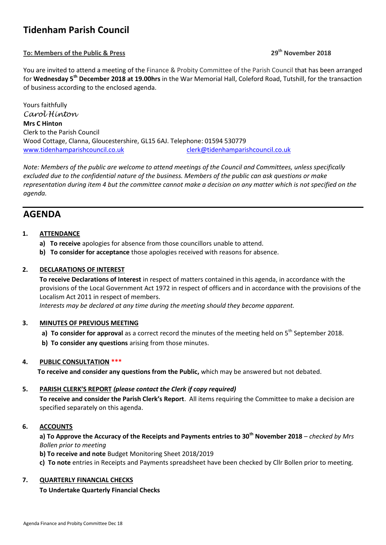# **Tidenham Parish Council**

# **To: Members of the Public & Press 29th November 2018**

You are invited to attend a meeting of the Finance & Probity Committee of the Parish Council that has been arranged for **Wednesday 5th December 2018 at 19.00hrs** in the War Memorial Hall, Coleford Road, Tutshill, for the transaction of business according to the enclosed agenda.

Yours faithfully *Carol Hinton* **Mrs C Hinton** Clerk to the Parish Council Wood Cottage, Clanna, Gloucestershire, GL15 6AJ. Telephone: 01594 530779 [www.tidenhamparishcouncil.co.uk](http://www.tidenhamparishcouncil.co.uk/) [clerk@tidenhamparishcouncil.co.uk](mailto:clerk@tidenhamparishcouncil.co.uk)

*Note: Members of the public are welcome to attend meetings of the Council and Committees, unless specifically excluded due to the confidential nature of the business. Members of the public can ask questions or make representation during item 4 but the committee cannot make a decision on any matter which is not specified on the agenda.*

# **AGENDA**

# **1. ATTENDANCE**

- **a) To receive** apologies for absence from those councillors unable to attend.
- **b) To consider for acceptance** those apologies received with reasons for absence.

# **2. DECLARATIONS OF INTEREST**

**To receive Declarations of Interest** in respect of matters contained in this agenda, in accordance with the provisions of the Local Government Act 1972 in respect of officers and in accordance with the provisions of the Localism Act 2011 in respect of members.

 *Interests may be declared at any time during the meeting should they become apparent.*

# **3. MINUTES OF PREVIOUS MEETING**

- **a) To consider for approval** as a correct record the minutes of the meeting held on 5<sup>th</sup> September 2018.
- **b) To consider any questions** arising from those minutes.

# **4. PUBLIC CONSULTATION \*\*\***

**To receive and consider any questions from the Public,** which may be answered but not debated.

# **5. PARISH CLERK'S REPORT** *(please contact the Clerk if copy required)*

**To receive and consider the Parish Clerk's Report**. All items requiring the Committee to make a decision are specified separately on this agenda.

# **6. ACCOUNTS**

**a) To Approve the Accuracy of the Receipts and Payments entries to 30th November 2018** *– checked by Mrs Bollen prior to meeting* 

**b) To receive and note** Budget Monitoring Sheet 2018/2019

**c) To note** entries in Receipts and Payments spreadsheet have been checked by Cllr Bollen prior to meeting.

# **7. QUARTERLY FINANCIAL CHECKS**

# **To Undertake Quarterly Financial Checks**